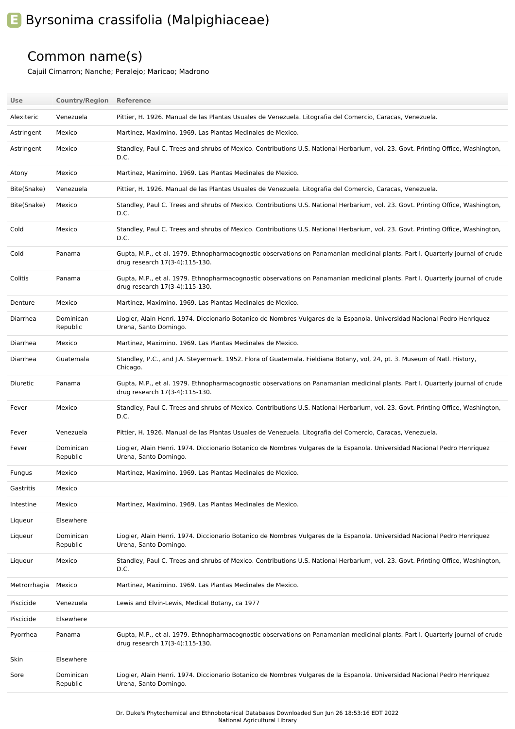## **E** Byrsonima crassifolia (Malpighiaceae)

## Common name(s)

Cajuil Cimarron; Nanche; Peralejo; Maricao; Madrono

| Use          | <b>Country/Region Reference</b> |                                                                                                                                                                  |
|--------------|---------------------------------|------------------------------------------------------------------------------------------------------------------------------------------------------------------|
| Alexiteric   | Venezuela                       | Pittier, H. 1926. Manual de las Plantas Usuales de Venezuela. Litografia del Comercio, Caracas, Venezuela.                                                       |
| Astringent   | Mexico                          | Martinez, Maximino. 1969. Las Plantas Medinales de Mexico.                                                                                                       |
| Astringent   | Mexico                          | Standley, Paul C. Trees and shrubs of Mexico. Contributions U.S. National Herbarium, vol. 23. Govt. Printing Office, Washington,<br>D.C.                         |
| Atony        | Mexico                          | Martinez, Maximino. 1969. Las Plantas Medinales de Mexico.                                                                                                       |
| Bite(Snake)  | Venezuela                       | Pittier, H. 1926. Manual de las Plantas Usuales de Venezuela. Litografia del Comercio, Caracas, Venezuela.                                                       |
| Bite(Snake)  | Mexico                          | Standley, Paul C. Trees and shrubs of Mexico. Contributions U.S. National Herbarium, vol. 23. Govt. Printing Office, Washington,<br>D.C.                         |
| Cold         | Mexico                          | Standley, Paul C. Trees and shrubs of Mexico. Contributions U.S. National Herbarium, vol. 23. Govt. Printing Office, Washington,<br>D.C.                         |
| Cold         | Panama                          | Gupta, M.P., et al. 1979. Ethnopharmacognostic observations on Panamanian medicinal plants. Part I. Quarterly journal of crude<br>drug research 17(3-4):115-130. |
| Colitis      | Panama                          | Gupta, M.P., et al. 1979. Ethnopharmacognostic observations on Panamanian medicinal plants. Part I. Quarterly journal of crude<br>drug research 17(3-4):115-130. |
| Denture      | Mexico                          | Martinez, Maximino. 1969. Las Plantas Medinales de Mexico.                                                                                                       |
| Diarrhea     | Dominican<br>Republic           | Liogier, Alain Henri. 1974. Diccionario Botanico de Nombres Vulgares de la Espanola. Universidad Nacional Pedro Henriquez<br>Urena, Santo Domingo.               |
| Diarrhea     | Mexico                          | Martinez. Maximino, 1969. Las Plantas Medinales de Mexico.                                                                                                       |
| Diarrhea     | Guatemala                       | Standley, P.C., and J.A. Steyermark. 1952. Flora of Guatemala. Fieldiana Botany, vol, 24, pt. 3. Museum of Natl. History,<br>Chicago.                            |
| Diuretic     | Panama                          | Gupta, M.P., et al. 1979. Ethnopharmacognostic observations on Panamanian medicinal plants. Part I. Quarterly journal of crude<br>drug research 17(3-4):115-130. |
| Fever        | Mexico                          | Standley, Paul C. Trees and shrubs of Mexico. Contributions U.S. National Herbarium, vol. 23. Govt. Printing Office, Washington,<br>D.C.                         |
| Fever        | Venezuela                       | Pittier, H. 1926. Manual de las Plantas Usuales de Venezuela. Litografia del Comercio, Caracas, Venezuela.                                                       |
| Fever        | Dominican<br>Republic           | Liogier, Alain Henri. 1974. Diccionario Botanico de Nombres Vulgares de la Espanola. Universidad Nacional Pedro Henriquez<br>Urena, Santo Domingo.               |
| Fungus       | Mexico                          | Martinez, Maximino. 1969. Las Plantas Medinales de Mexico.                                                                                                       |
| Gastritis    | Mexico                          |                                                                                                                                                                  |
| Intestine    | Mexico                          | Martinez, Maximino. 1969. Las Plantas Medinales de Mexico.                                                                                                       |
| Liqueur      | Elsewhere                       |                                                                                                                                                                  |
| Liqueur      | Dominican<br>Republic           | Liogier, Alain Henri. 1974. Diccionario Botanico de Nombres Vulgares de la Espanola. Universidad Nacional Pedro Henriquez<br>Urena, Santo Domingo.               |
| Liqueur      | Mexico                          | Standley, Paul C. Trees and shrubs of Mexico. Contributions U.S. National Herbarium, vol. 23. Govt. Printing Office, Washington,<br>D.C.                         |
| Metrorrhagia | Mexico                          | Martinez, Maximino. 1969. Las Plantas Medinales de Mexico.                                                                                                       |
| Piscicide    | Venezuela                       | Lewis and Elvin-Lewis, Medical Botany, ca 1977                                                                                                                   |
| Piscicide    | Elsewhere                       |                                                                                                                                                                  |
| Pyorrhea     | Panama                          | Gupta, M.P., et al. 1979. Ethnopharmacognostic observations on Panamanian medicinal plants. Part I. Quarterly journal of crude<br>drug research 17(3-4):115-130. |
| Skin         | Elsewhere                       |                                                                                                                                                                  |
| Sore         | Dominican<br>Republic           | Liogier, Alain Henri. 1974. Diccionario Botanico de Nombres Vulgares de la Espanola. Universidad Nacional Pedro Henriquez<br>Urena, Santo Domingo.               |